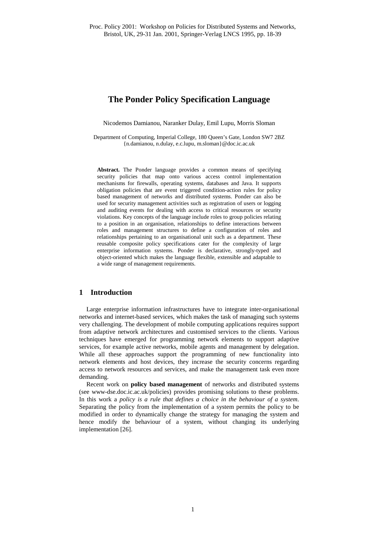# **The Ponder Policy Specification Language**

Nicodemos Damianou, Naranker Dulay, Emil Lupu, Morris Sloman

Department of Computing, Imperial College, 180 Queen's Gate, London SW7 2BZ {n.damianou, n.dulay, e.c.lupu, m.sloman}@doc.ic.ac.uk

**Abstract.** The Ponder language provides a common means of specifying security policies that map onto various access control implementation mechanisms for firewalls, operating systems, databases and Java. It supports obligation policies that are event triggered condition-action rules for policy based management of networks and distributed systems. Ponder can also be used for security management activities such as registration of users or logging and auditing events for dealing with access to critical resources or security violations. Key concepts of the language include roles to group policies relating to a position in an organisation, relationships to define interactions between roles and management structures to define a configuration of roles and relationships pertaining to an organisational unit such as a department. These reusable composite policy specifications cater for the complexity of large enterprise information systems. Ponder is declarative, strongly-typed and object-oriented which makes the language flexible, extensible and adaptable to a wide range of management requirements.

## **1 Introduction**

Large enterprise information infrastructures have to integrate inter-organisational networks and internet-based services, which makes the task of managing such systems very challenging. The development of mobile computing applications requires support from adaptive network architectures and customised services to the clients. Various techniques have emerged for programming network elements to support adaptive services, for example active networks, mobile agents and management by delegation. While all these approaches support the programming of new functionality into network elements and host devices, they increase the security concerns regarding access to network resources and services, and make the management task even more demanding.

Recent work on **policy based management** of networks and distributed systems (see www-dse.doc.ic.ac.uk/policies) provides promising solutions to these problems. In this work a *policy is a rule that defines a choice in the behaviour of a system*. Separating the policy from the implementation of a system permits the policy to be modified in order to dynamically change the strategy for managing the system and hence modify the behaviour of a system, without changing its underlying implementation [26].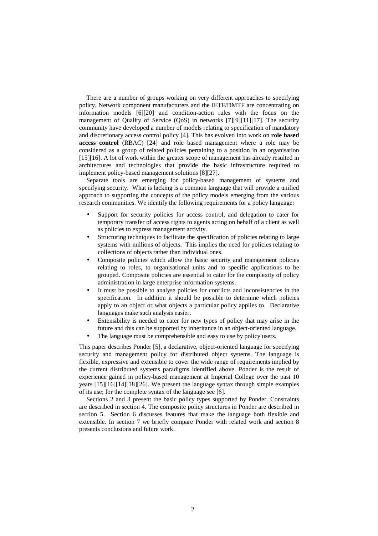There are a number of groups working on very different approaches to specifying policy. Network component manufacturers and the IETF/DMTF are concentrating on information models [6][20] and condition-action rules with the focus on the management of Quality of Service (QoS) in networks [7][9][11][17]. The security community have developed a number of models relating to specification of mandatory and discretionary access control policy [4]. This has evolved into work on **role based access control** (RBAC) [24] and role based management where a role may be considered as a group of related policies pertaining to a position in an organisation [15][16]. A lot of work within the greater scope of management has already resulted in architectures and technologies that provide the basic infrastructure required to implement policy-based management solutions [8][27].

Separate tools are emerging for policy-based management of systems and specifying security. What is lacking is a common language that will provide a unified approach to supporting the concepts of the policy models emerging from the various research communities. We identify the following requirements for a policy language:

- Support for security policies for access control, and delegation to cater for temporary transfer of access rights to agents acting on behalf of a client as well as policies to express management activity.
- Structuring techniques to facilitate the specification of policies relating to large systems with millions of objects. This implies the need for policies relating to collections of objects rather than individual ones.
- Composite policies which allow the basic security and management policies relating to roles, to organisational units and to specific applications to be grouped. Composite policies are essential to cater for the complexity of policy administration in large enterprise information systems.
- It must be possible to analyse policies for conflicts and inconsistencies in the specification. In addition it should be possible to determine which policies apply to an object or what objects a particular policy applies to. Declarative languages make such analysis easier.
- Extensibility is needed to cater for new types of policy that may arise in the future and this can be supported by inheritance in an object-oriented language.
- The language must be comprehensible and easy to use by policy users.

This paper describes Ponder [5], a declarative, object-oriented language for specifying security and management policy for distributed object systems. The language is flexible, expressive and extensible to cover the wide range of requirements implied by the current distributed systems paradigms identified above. Ponder is the result of experience gained in policy-based management at Imperial College over the past 10 years [15][16][14][18][26]. We present the language syntax through simple examples of its use; for the complete syntax of the language see [6].

Sections 2 and 3 present the basic policy types supported by Ponder. Constraints are described in section 4. The composite policy structures in Ponder are described in section 5. Section 6 discusses features that make the language both flexible and extensible. In section 7 we briefly compare Ponder with related work and section 8 presents conclusions and future work.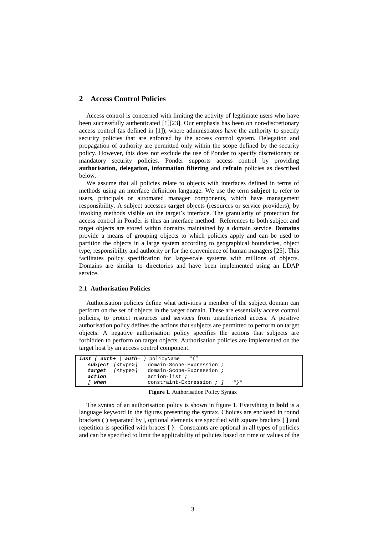## **2 Access Control Policies**

Access control is concerned with limiting the activity of legitimate users who have been successfully authenticated [1][23]. Our emphasis has been on non-discretionary access control (as defined in [1]), where administrators have the authority to specify security policies that are enforced by the access control system. Delegation and propagation of authority are permitted only within the scope defined by the security policy. However, this does not exclude the use of Ponder to specify discretionary or mandatory security policies. Ponder supports access control by providing **authorisation, delegation, information filtering** and **refrain** policies as described below.

We assume that all policies relate to objects with interfaces defined in terms of methods using an interface definition language. We use the term **subject** to refer to users, principals or automated manager components, which have management responsibility. A subject accesses **target** objects (resources or service providers), by invoking methods visible on the target's interface. The granularity of protection for access control in Ponder is thus an interface method. References to both subject and target objects are stored within domains maintained by a domain service. **Domains** provide a means of grouping objects to which policies apply and can be used to partition the objects in a large system according to geographical boundaries, object type, responsibility and authority or for the convenience of human managers [25]. This facilitates policy specification for large-scale systems with millions of objects. Domains are similar to directories and have been implemented using an LDAP service.

## **2.1 Authorisation Policies**

Authorisation policies define what activities a member of the subject domain can perform on the set of objects in the target domain. These are essentially access control policies, to protect resources and services from unauthorized access. A positive authorisation policy defines the actions that subjects are permitted to perform on target objects. A negative authorisation policy specifies the actions that subjects are forbidden to perform on target objects. Authorisation policies are implemented on the target host by an access control component.

| inst ( $auth+$   $auth-$ ) policyName<br>subject [ <type>]<br/><math>target</math> <math>{\left\lceil {\text{ctype}} \right\rceil}</math><br/>action<br/>when</type> | $\mathfrak{n}$ $\{n$<br>domain-Scope-Expression ;<br>domain-Scope-Expression ;<br>action-list,<br>constraint-Expression ; 1 | . այս |
|----------------------------------------------------------------------------------------------------------------------------------------------------------------------|-----------------------------------------------------------------------------------------------------------------------------|-------|
|                                                                                                                                                                      |                                                                                                                             |       |
|                                                                                                                                                                      |                                                                                                                             |       |

**Figure 1**. Authorisation Policy Syntax

The syntax of an authorisation policy is shown in figure 1. Everything in **bold** is a language keyword in the figures presenting the syntax. Choices are enclosed in round brackets **( )** separated by |, optional elements are specified with square brackets **[ ]** and repetition is specified with braces **{ }**. Constraints are optional in all types of policies and can be specified to limit the applicability of policies based on time or values of the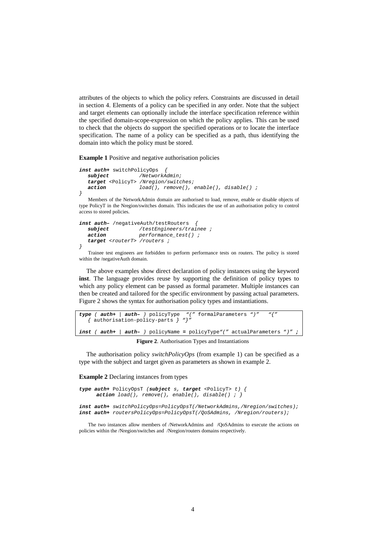attributes of the objects to which the policy refers. Constraints are discussed in detail in section 4. Elements of a policy can be specified in any order. Note that the subject and target elements can optionally include the interface specification reference within the specified domain-scope-expression on which the policy applies. This can be used to check that the objects do support the specified operations or to locate the interface specification. The name of a policy can be specified as a path, thus identifying the domain into which the policy must be stored.

**Example 1** Positive and negative authorisation policies

```
inst auth+ switchPolicyOps {
  subject /NetworkAdmin;
  target <PolicyT> /Nregion/switches;
  action load(), remove(), enable(), disable() ;
}
```
Members of the NetworkAdmin domain are authorised to load, remove, enable or disable objects of type PolicyT in the Nregion/switches domain. This indicates the use of an authorisation policy to control access to stored policies.

```
inst auth- /negativeAuth/testRouters<br>subject /testEngineers/tr
                       subject /testEngineers/trainee ;
   action performance_test() ;
   target <routerT> /routers ;
}
```
Trainee test engineers are forbidden to perform performance tests on routers. The policy is stored within the /negativeAuth domain.

The above examples show direct declaration of policy instances using the keyword **inst**. The language provides reuse by supporting the definition of policy types to which any policy element can be passed as formal parameter. Multiple instances can then be created and tailored for the specific environment by passing actual parameters. Figure 2 shows the syntax for authorisation policy types and instantiations.

```
type ( auth+ | auth– ) policyType "(" formalParameters ")" "{"
  { authorisation-policy-parts  \} " \}"
inst ( auth+ | auth– ) policyName = policyType"(" actualParameters ")" ;
                   Figure 2. Authorisation Types and Instantiations
```
The authorisation policy *switchPolicyOps* (from example 1) can be specified as a type with the subject and target given as parameters as shown in example 2.

**Example 2** Declaring instances from types

```
type auth+ PolicyOpsT (subject s, target <PolicyT> t) {
     action load(), remove(), enable(), disable(); }inst auth+ switchPolicyOps=PolicyOpsT(/NetworkAdmins,/Nregion/switches);
inst auth+ routersPolicyOps=PolicyOpsT(/QoSAdmins, /Nregion/routers);
```
The two instances allow members of /NetworkAdmins and /QoSAdmins to execute the actions on policies within the /Nregion/switches and /Nregion/routers domains respectively.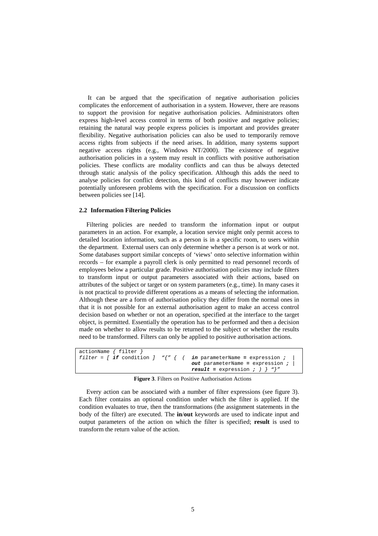It can be argued that the specification of negative authorisation policies complicates the enforcement of authorisation in a system. However, there are reasons to support the provision for negative authorisation policies. Administrators often express high-level access control in terms of both positive and negative policies; retaining the natural way people express policies is important and provides greater flexibility. Negative authorisation policies can also be used to temporarily remove access rights from subjects if the need arises. In addition, many systems support negative access rights (e.g., Windows NT/2000). The existence of negative authorisation policies in a system may result in conflicts with positive authorisation policies. These conflicts are modality conflicts and can thus be always detected through static analysis of the policy specification. Although this adds the need to analyse policies for conflict detection, this kind of conflicts may however indicate potentially unforeseen problems with the specification. For a discussion on conflicts between policies see [14].

#### **2.2 Information Filtering Policies**

Filtering policies are needed to transform the information input or output parameters in an action. For example, a location service might only permit access to detailed location information, such as a person is in a specific room, to users within the department. External users can only determine whether a person is at work or not. Some databases support similar concepts of 'views' onto selective information within records – for example a payroll clerk is only permitted to read personnel records of employees below a particular grade. Positive authorisation policies may include filters to transform input or output parameters associated with their actions, based on attributes of the subject or target or on system parameters (e.g., time). In many cases it is not practical to provide different operations as a means of selecting the information. Although these are a form of authorisation policy they differ from the normal ones in that it is not possible for an external authorisation agent to make an access control decision based on whether or not an operation, specified at the interface to the target object, is permitted. Essentially the operation has to be performed and then a decision made on whether to allow results to be returned to the subject or whether the results need to be transformed. Filters can only be applied to positive authorisation actions.

| actionName f filter |                                                                                                                   |
|---------------------|-------------------------------------------------------------------------------------------------------------------|
|                     | filter = $\int$ <b>if</b> condition $\int$ " $\frac{y}{x}$ $\int$ ( <b>in</b> parameterName = expression ; $\int$ |
|                     | out parameterName = expression ; $/$                                                                              |
|                     | <b>result =</b> expression $:$ $\rightarrow$ $\rightarrow$ " $\rightarrow$ "                                      |

**Figure 3**. Filters on Positive Authorisation Actions

Every action can be associated with a number of filter expressions (see figure 3). Each filter contains an optional condition under which the filter is applied. If the condition evaluates to true, then the transformations (the assignment statements in the body of the filter) are executed. The **in**/**out** keywords are used to indicate input and output parameters of the action on which the filter is specified; **result** is used to transform the return value of the action.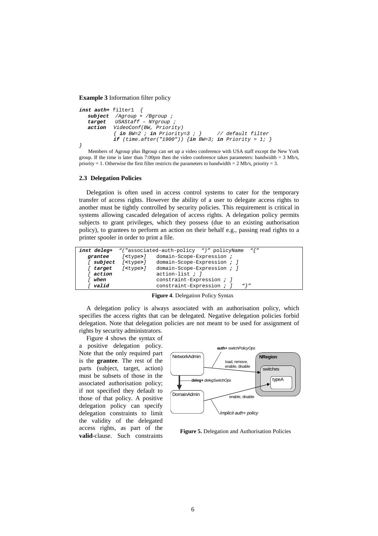**Example 3** Information filter policy

```
inst auth+ filter1 {
   subject /Agroup + /Bgroup ;
   target USAStaff – NYgroup ;
  action VideoConf(BW, Priority)
            \{ in \, BW=2 ; in \, Priority=3 ; \} // default filter
            if (time.after("1900")) \{in \mathbb{N}=3; in \text{ Priority = 1}; \}}
```
Members of Agroup plus Bgroup can set up a video conference with USA staff except the New York group. If the time is later than 7:00pm then the video conference takes parameters: bandwidth = 3 Mb/s, priority = 1. Otherwise the first filter restricts the parameters to bandwidth =  $2$  Mb/s, priority =  $3$ .

#### **2.3 Delegation Policies**

Delegation is often used in access control systems to cater for the temporary transfer of access rights. However the ability of a user to delegate access rights to another must be tightly controlled by security policies. This requirement is critical in systems allowing cascaded delegation of access rights. A delegation policy permits subjects to grant privileges, which they possess (due to an existing authorisation policy), to grantees to perform an action on their behalf e.g., passing read rights to a printer spooler in order to print a file.

|         |                  | $\mathfrak{n}$ / $\mathfrak{n}$<br>inst deleg+ "("associated-auth-policy ")" policyName |
|---------|------------------|-----------------------------------------------------------------------------------------|
| grantee | / <type>/</type> | domain-Scope-Expression ;                                                               |
|         |                  | <b>subject</b> [ <type>] domain-Scope-Expression ; ]</type>                             |
| target  | / <type>/</type> | domain-Scope-Expression ; 1                                                             |
| action  |                  | action-list $: \mathbb{R}$                                                              |
| when    |                  | constraint-Expression ; 1                                                               |
| valid   |                  | $\mathbf{u}$ $\mathbf{v}$<br>constraint-Expression ; 1                                  |

**Figure 4**. Delegation Policy Syntax

A delegation policy is always associated with an authorisation policy, which specifies the access rights that can be delegated. Negative delegation policies forbid delegation. Note that delegation policies are not meant to be used for assignment of rights by security administrators.

Figure 4 shows the syntax of a positive delegation policy. Note that the only required part is the **grantee**. The rest of the parts (subject, target, action) must be subsets of those in the associated authorisation policy; if not specified they default to those of that policy. A positive delegation policy can specify delegation constraints to limit the validity of the delegated access rights, as part of the **valid**-clause. Such constraints



**Figure 5.** Delegation and Authorisation Policies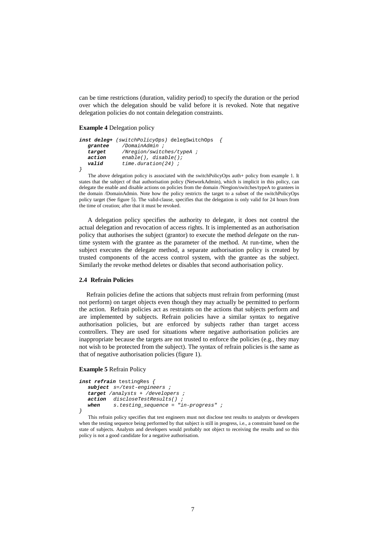can be time restrictions (duration, validity period) to specify the duration or the period over which the delegation should be valid before it is revoked. Note that negative delegation policies do not contain delegation constraints.

### **Example 4** Delegation policy

```
inst deleg+ (switchPolicyOps) delegSwitchOps {
            /DomainAdmin ;
  target /Nregion/switches/typeA ;
  action enable(), disable();
  valid time.duration(24) ;
}
```
The above delegation policy is associated with the switchPolicyOps auth+ policy from example 1. It states that the subject of that authorisation policy (NetworkAdmin), which is implicit in this policy, can delegate the enable and disable actions on policies from the domain /Nregion/switches/typeA to grantees in the domain /DomainAdmin. Note how the policy restricts the target to a subset of the switchPolicyOps policy target (See figure 5). The valid-clause, specifies that the delegation is only valid for 24 hours from the time of creation; after that it must be revoked.

A delegation policy specifies the authority to delegate, it does not control the actual delegation and revocation of access rights. It is implemented as an authorisation policy that authorises the subject (grantor) to execute the method *delegate* on the runtime system with the grantee as the parameter of the method. At run-time, when the subject executes the delegate method, a separate authorisation policy is created by trusted components of the access control system, with the grantee as the subject. Similarly the revoke method deletes or disables that second authorisation policy.

#### **2.4 Refrain Policies**

Refrain policies define the actions that subjects must refrain from performing (must not perform) on target objects even though they may actually be permitted to perform the action. Refrain policies act as restraints on the actions that subjects perform and are implemented by subjects. Refrain policies have a similar syntax to negative authorisation policies, but are enforced by subjects rather than target access controllers. They are used for situations where negative authorisation policies are inappropriate because the targets are not trusted to enforce the policies (e.g., they may not wish to be protected from the subject). The syntax of refrain policies is the same as that of negative authorisation policies (figure 1).

#### **Example 5** Refrain Policy

```
inst refrain testingRes {
  subject s=/test-engineers ;
  target /analysts + /developers ;
  action discloseTestResults() ;
  when s.testing_sequence = "in-progress" ;
}
```
This refrain policy specifies that test engineers must not disclose test results to analysts or developers when the testing sequence being performed by that subject is still in progress, i.e., a constraint based on the state of subjects. Analysts and developers would probably not object to receiving the results and so this policy is not a good candidate for a negative authorisation.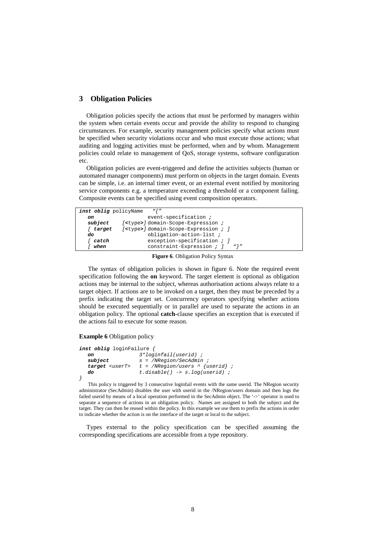## **3 Obligation Policies**

Obligation policies specify the actions that must be performed by managers within the system when certain events occur and provide the ability to respond to changing circumstances. For example, security management policies specify what actions must be specified when security violations occur and who must execute those actions; what auditing and logging activities must be performed, when and by whom. Management policies could relate to management of QoS, storage systems, software configuration etc.

Obligation policies are event-triggered and define the activities subjects (human or automated manager components) must perform on objects in the target domain. Events can be simple, i.e. an internal timer event, or an external event notified by monitoring service components e.g. a temperature exceeding a threshold or a component failing. Composite events can be specified using event composition operators.

| $\mathfrak{n}$ $\ell$ $\mu$<br>inst oblig policyName |                                                              |  |
|------------------------------------------------------|--------------------------------------------------------------|--|
| on                                                   | event-specification ;                                        |  |
| subject                                              | [ <type>]domain-Scope-Expression ;</type>                    |  |
| f target                                             | [ <type> ] domain-Scope-Expression ; ]</type>                |  |
| do                                                   | obligation-action-list ;                                     |  |
| catch                                                | exception-specification ; 1                                  |  |
| when                                                 | constraint-Expression ; 1<br>$\mathfrak{m}$ } $\mathfrak{m}$ |  |

**Figure 6**. Obligation Policy Syntax

 The syntax of obligation policies is shown in figure 6. Note the required event specification following the **on** keyword. The target element is optional as obligation actions may be internal to the subject, whereas authorisation actions always relate to a target object. If actions are to be invoked on a target, then they must be preceded by a prefix indicating the target set. Concurrency operators specifying whether actions should be executed sequentially or in parallel are used to separate the actions in an obligation policy. The optional **catch**-clause specifies an exception that is executed if the actions fail to execute for some reason.

### **Example 6** Obligation policy

| inst oblig loginFailure { |                                           |
|---------------------------|-------------------------------------------|
| on                        | $3*loginfail(userid)$ ;                   |
| subject                   | $s =$ /NRegion/SecAdmin;                  |
| target <usert></usert>    | $t =$ /NRegion/users $\land$ {userid} ;   |
| do                        | $t.disable() \rightarrow s.log(userid)$ ; |
|                           |                                           |

This policy is triggered by 3 consecutive loginfail events with the same userid. The NRegion security administrator (SecAdmin) disables the user with userid in the /NRegion/users domain and then logs the failed userid by means of a local operation performed in the SecAdmin object. The '->' operator is used to separate a sequence of actions in an obligation policy. Names are assigned to both the subject and the target. They can then be reused within the policy. In this example we use them to prefix the actions in order to indicate whether the action is on the interface of the target or local to the subject.

Types external to the policy specification can be specified assuming the corresponding specifications are accessible from a type repository.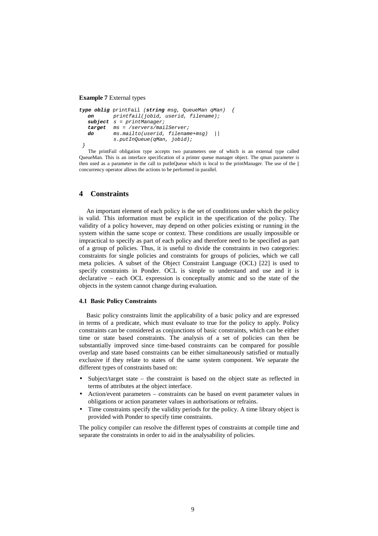### **Example 7** External types

```
type oblig printFail (string msg, QueueMan qMan) {
  on printfail(jobid, userid, filename);
  subject s = printManager;
  target ms = /servers/mailServer;
  do ms.mailto(userid, filename+msg) ||
          s.putInQueue(qMan, jobid);
}
```
The printFail obligation type accepts two parameters one of which is an external type called QueueMan. This is an interface specification of a printer queue manager object. The qman parameter is then used as a parameter in the call to putInQueue which is local to the printManager. The use of the  $\parallel$ concurrency operator allows the actions to be performed in parallel.

## **4 Constraints**

An important element of each policy is the set of conditions under which the policy is valid. This information must be explicit in the specification of the policy. The validity of a policy however, may depend on other policies existing or running in the system within the same scope or context. These conditions are usually impossible or impractical to specify as part of each policy and therefore need to be specified as part of a group of policies. Thus, it is useful to divide the constraints in two categories: constraints for single policies and constraints for groups of policies, which we call meta policies. A subset of the Object Constraint Language (OCL) [22] is used to specify constraints in Ponder. OCL is simple to understand and use and it is declarative – each OCL expression is conceptually atomic and so the state of the objects in the system cannot change during evaluation.

#### **4.1 Basic Policy Constraints**

Basic policy constraints limit the applicability of a basic policy and are expressed in terms of a predicate, which must evaluate to true for the policy to apply. Policy constraints can be considered as conjunctions of basic constraints, which can be either time or state based constraints. The analysis of a set of policies can then be substantially improved since time-based constraints can be compared for possible overlap and state based constraints can be either simultaneously satisfied or mutually exclusive if they relate to states of the same system component. We separate the different types of constraints based on:

- Subject/target state the constraint is based on the object state as reflected in terms of attributes at the object interface.
- Action/event parameters constraints can be based on event parameter values in obligations or action parameter values in authorisations or refrains.
- Time constraints specify the validity periods for the policy. A time library object is provided with Ponder to specify time constraints.

The policy compiler can resolve the different types of constraints at compile time and separate the constraints in order to aid in the analysability of policies.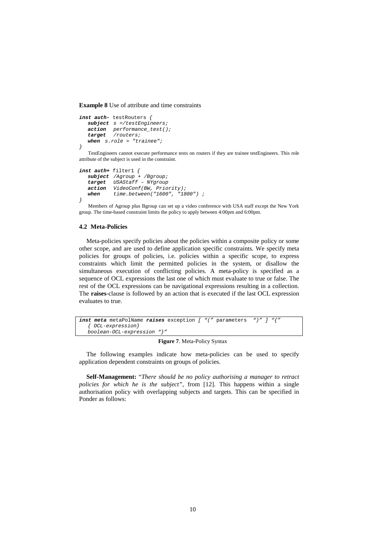**Example 8** Use of attribute and time constraints

```
inst auth- testRouters {
  subject s =/testEngineers;
  action performance_test();
  target /routers;
  when s.role = "trainee";
}
```
TestEngineers cannot execute performance tests on routers if they are trainee testEngineers. This role attribute of the subject is used in the constraint.

```
inst auth+ filter1 {
   subject /Agroup + /Bgroup;
   target USAStaff – NYgroup
   action VideoConf(BW, Priority);<br>when time.between("1600", "18
             time.between("1600", "1800");
}
```
Members of Agroup plus Bgroup can set up a video conference with USA staff except the New York group. The time-based constraint limits the policy to apply between 4:00pm and 6:00pm.

## **4.2 Meta-Policies**

Meta-policies specify policies about the policies within a composite policy or some other scope, and are used to define application specific constraints. We specify meta policies for groups of policies, i.e. policies within a specific scope, to express constraints which limit the permitted policies in the system, or disallow the simultaneous execution of conflicting policies. A meta-policy is specified as a sequence of OCL expressions the last one of which must evaluate to true or false. The rest of the OCL expressions can be navigational expressions resulting in a collection. The **raises**-clause is followed by an action that is executed if the last OCL expression evaluates to true.

```
inst meta metaPolName raises exception [ "(" parameters ")" ] "{"
  { OCL-expression}
  boolean-OCL-expression "}"
```
**Figure 7**. Meta-Policy Syntax

The following examples indicate how meta-policies can be used to specify application dependent constraints on groups of policies.

**Self-Management:** "*There should be no policy authorising a manager to retract policies for which he is the subject"*, from [12]. This happens within a single authorisation policy with overlapping subjects and targets. This can be specified in Ponder as follows: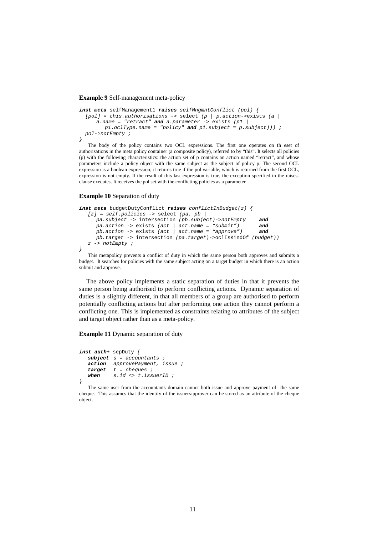**Example 9** Self-management meta-policy

```
inst meta selfManagement1 raises selfMngmntConflict (pol) {
  [pol] = this.authorisations -> select (p | p.action->exists (a |
     a.name = "retract" and a.parameter \rightarrow exists (p1)
        p1.oclType.name = "policy" and p1.subject = p.subject))) ;
 pol->notEmpty ;
}
```
The body of the policy contains two OCL expressions. The first one operates on th eset of authorisations in the meta policy container (a composite policy), referred to by "this". It selects all policies (p) with the following characteristics: the action set of p contains an action named "retract", and whose parameters include a policy object with the same subject as the subject of policy p. The second OCL expression is a boolean expression; it returns true if the pol variable, which is returned from the first OCL, expression is not empty. If the result of this last expression is true, the exception specified in the raisesclause executes. It receives the pol set with the conflicting policies as a parameter

#### **Example 10** Separation of duty

```
inst meta budgetDutyConflict raises conflictInBudget(z) {
  [z] = self.policies -> select (pa, pb )
     pa.subject -> intersection (pb.subject)->notEmpty and
     pa.action -> exists (act | act.name = "submit") and
     pb.action -> exists (act | act.name = "approve") and
     pb.target -> intersection (pa.target)->oclIsKindOf (budget))
  z \rightarrow \text{notEmpty};
}
```
This metapolicy prevents a conflict of duty in which the same person both approves and submits a budget. It searches for policies with the same subject acting on a target budget in which there is an action submit and approve.

The above policy implements a static separation of duties in that it prevents the same person being authorised to perform conflicting actions. Dynamic separation of duties is a slightly different, in that all members of a group are authorised to perform potentially conflicting actions but after performing one action they cannot perform a conflicting one. This is implemented as constraints relating to attributes of the subject and target object rather than as a meta-policy.

**Example 11** Dynamic separation of duty

```
inst auth+ sepDuty {
   subject s = accountants ;
   action approvePayment, issue ;
   target t = cheques;<br>when s.id \Leftrightarrow t.isswhen s.id <> t.issuerID ;
}
```
The same user from the accountants domain cannot both issue and approve payment of the same cheque. This assumes that the identity of the issuer/approver can be stored as an attribute of the cheque object.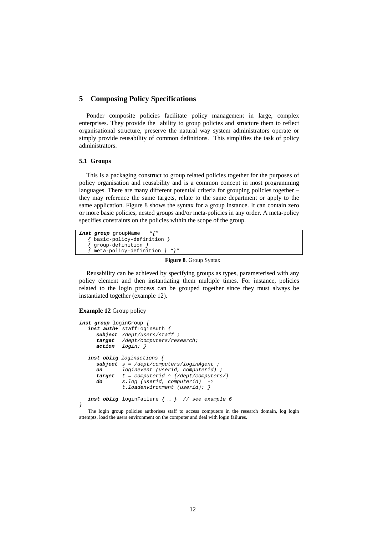## **5 Composing Policy Specifications**

Ponder composite policies facilitate policy management in large, complex enterprises. They provide the ability to group policies and structure them to reflect organisational structure, preserve the natural way system administrators operate or simply provide reusability of common definitions. This simplifies the task of policy administrators.

### **5.1 Groups**

This is a packaging construct to group related policies together for the purposes of policy organisation and reusability and is a common concept in most programming languages. There are many different potential criteria for grouping policies together – they may reference the same targets, relate to the same department or apply to the same application. Figure 8 shows the syntax for a group instance. It can contain zero or more basic policies, nested groups and/or meta-policies in any order. A meta-policy specifies constraints on the policies within the scope of the group.

```
inst group groupName "{"
   { basic-policy-definition }
    { group-definition }
    {math> meta-policy-definition } ' " }"
```
**Figure 8**. Group Syntax

Reusability can be achieved by specifying groups as types, parameterised with any policy element and then instantiating them multiple times. For instance, policies related to the login process can be grouped together since they must always be instantiated together (example 12).

#### **Example 12** Group policy

```
inst group loginGroup {
  inst auth+ staffLoginAuth {
    subject /dept/users/staff ;
     target /dept/computers/research;
     action login; }
  inst oblig loginactions {
     subject s = /dept/computers/loginAgent ;
     on loginevent (userid, computerid) ;
     target t = computerid ^ {/dept/computers/}
     do s.log (userid, computerid) ->
             t.loadenvironment (userid); }
  inst oblig loginFailure { … } // see example 6
}
```
The login group policies authorises staff to access computers in the research domain, log login attempts, load the users environment on the computer and deal with login failures.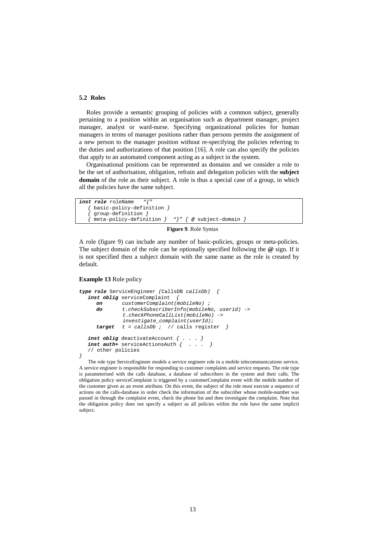#### **5.2 Roles**

Roles provide a semantic grouping of policies with a common subject, generally pertaining to a position within an organisation such as department manager, project manager, analyst or ward-nurse. Specifying organizational policies for human managers in terms of manager positions rather than persons permits the assignment of a new person to the manager position without re-specifying the policies referring to the duties and authorizations of that position [16]. A role can also specify the policies that apply to an automated component acting as a subject in the system.

Organisational positions can be represented as domains and we consider a role to be the set of authorisation, obligation, refrain and delegation policies with the **subject domain** of the role as their subject. A role is thus a special case of a group, in which all the policies have the same subject.

```
inst role roleName "{"
  { basic-policy-definition }
    { group-definition }
    { meta-policy-definition } "}" [ @ subject-domain ]
```
### **Figure 9**. Role Syntax

A role (figure 9) can include any number of basic-policies, groups or meta-policies. The subject domain of the role can be optionally specified following the **@** sign. If it is not specified then a subject domain with the same name as the role is created by default.

#### **Example 13** Role policy

```
type role ServiceEngineer (CallsDB callsDb) {
  inst oblig serviceComplaint {
     on customerComplaint(mobileNo);<br>do t.checkSubscriberInfo(mobileNo
               do t.checkSubscriberInfo(mobileNo, userid) ->
               t.checkPhoneCallList(mobileNo) ->
               investigate_complaint(userId);
     target t = callsDb ; // calls registerinst oblig deactivateAccount { . . . }
  inst auth+ serviceActionsAuth { ... }
  // other policies
}
```
The role type ServiceEngineer models a service engineer role in a mobile telecommunications service. A service engineer is responsible for responding to customer complaints and service requests. The role type is parameterised with the calls database, a database of subscribers in the system and their calls. The obligation policy serviceComplaint is triggered by a customerComplaint event with the mobile number of the customer given as an event attribute. On this event, the subject of the role must execute a sequence of actions on the calls-database in order check the information of the subscriber whose mobile-number was passed in through the complaint event, check the phone list and then investigate the complaint. Note that the obligation policy does not specify a subject as all policies within the role have the same implicit subject.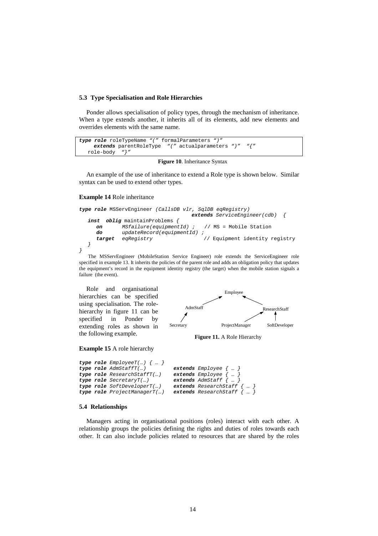### **5.3 Type Specialisation and Role Hierarchies**

Ponder allows specialisation of policy types, through the mechanism of inheritance. When a type extends another, it inherits all of its elements, add new elements and overrides elements with the same name.

```
type role roleTypeName "(" formalParameters ")"
    extends parentRoleType "(" actualparameters ")" "{"
  role-body
```
**Figure 10**. Inheritance Syntax

An example of the use of inheritance to extend a Role type is shown below. Similar syntax can be used to extend other types.

#### **Example 14** Role inheritance

```
type role MSServEngineer (CallsDB vlr, SqlDB eqRegistry)
                                      extends ServiceEngineer(cdb) {
  inst oblig maintainProblems {
     on MSfailure(equipmentId); // MS = Mobile Station<br>
do updateRecord(equipmentId):
              do updateRecord(equipmentId) ;
     target eqRegistry // Equipment identity registry
   }
}
```
The MSServEngineer (MobileStation Service Engineer) role extends the ServiceEngineer role specified in example 13. It inherits the policies of the parent role and adds an obligation policy that updates the equipment's record in the equipment identity registry (the target) when the mobile station signals a failure (the event).

Role and organisational hierarchies can be specified using specialisation. The rolehierarchy in figure 11 can be specified in Ponder by extending roles as shown in the following example.



**Figure 11.** A Role Hierarchy

### **Example 15** A role hierarchy

```
type role EmployeeT(…) { … }<br>type role AdmStaffT(…)
                                           extends Employee { … }
type role ResearchStaffT(…) extends Employee { … }<br>type role SecretaryT(…) extends AdmStaff { … }
type role SecretaryT(…) extends AdmStaff { … }<br>type role SoftDeveloperT(…) extends ResearchStaff {
type role SoftDeveloperT(…) extends ResearchStaff{…}
type role ProjectManagerT(…) extends ResearchStaff{…}
```
### **5.4 Relationships**

Managers acting in organisational positions (roles) interact with each other. A relationship groups the policies defining the rights and duties of roles towards each other. It can also include policies related to resources that are shared by the roles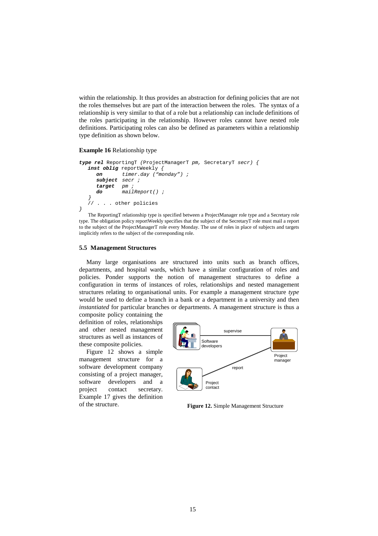within the relationship. It thus provides an abstraction for defining policies that are not the roles themselves but are part of the interaction between the roles. The syntax of a relationship is very similar to that of a role but a relationship can include definitions of the roles participating in the relationship. However roles cannot have nested role definitions. Participating roles can also be defined as parameters within a relationship type definition as shown below.

## **Example 16** Relationship type

```
type rel ReportingT (ProjectManagerT pm, SecretaryT secr) {
  inst oblig reportWeekly {
    on timer.day ("monday") ;
     subject secr ;
     targetdo mailReport() ;
  }
  // . . . other policies
}
```
The ReportingT relationship type is specified between a ProjectManager role type and a Secretary role type. The obligation policy reportWeekly specifies that the subject of the SecretaryT role must mail a report to the subject of the ProjectManagerT role every Monday. The use of roles in place of subjects and targets implicitly refers to the subject of the corresponding role.

### **5.5 Management Structures**

Many large organisations are structured into units such as branch offices, departments, and hospital wards, which have a similar configuration of roles and policies. Ponder supports the notion of management structures to define a configuration in terms of instances of roles, relationships and nested management structures relating to organisational units. For example a management structure *type* would be used to define a branch in a bank or a department in a university and then *instantiated* for particular branches or departments. A management structure is thus a

composite policy containing the definition of roles, relationships and other nested management structures as well as instances of these composite policies.

Figure 12 shows a simple management structure for a software development company consisting of a project manager, software developers and a project contact secretary. Example 17 gives the definition of the structure.



**Figure 12.** Simple Management Structure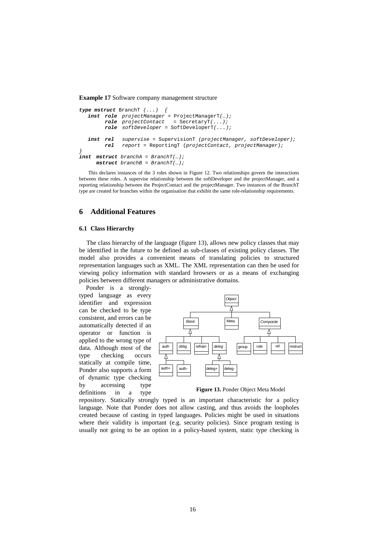**Example 17** Software company management structure

```
type mstruct BranchT (...) {
  inst role projectManager = ProjectManagerT(…);
        role projectContact = SecretaryT(...);
        role softDeveloper = SoftDeveloperT(...);
  inst rel supervise = SupervisionT (projectManager, softDeveloper);
        rel report = ReportingT (projectContact, projectManager);
}
inst mstruct branchA = BranchT(…);
     mstruct branchB = BranchT(…);
```
This declares instances of the 3 roles shown in Figure 12. Two relationships govern the interactions between these roles. A supervise relationship between the softDeveloper and the projectManager, and a reporting relationship between the ProjectContact and the projectManager. Two instances of the BranchT type are created for branches within the organisation that exhibit the same role-relationship requirements.

## **6 Additional Features**

### **6.1 Class Hierarchy**

The class hierarchy of the language (figure 13), allows new policy classes that may be identified in the future to be defined as sub-classes of existing policy classes. The model also provides a convenient means of translating policies to structured representation languages such as XML. The XML representation can then be used for viewing policy information with standard browsers or as a means of exchanging policies between different managers or administrative domains.

Ponder is a stronglytyped language as every identifier and expression can be checked to be type consistent, and errors can be automatically detected if an operator or function is applied to the wrong type of data. Although most of the type checking occurs statically at compile time, Ponder also supports a form of dynamic type checking by accessing type definitions in a type



 **Figure 13.** Ponder Object Meta Model

repository. Statically strongly typed is an important characteristic for a policy language. Note that Ponder does not allow casting, and thus avoids the loopholes created because of casting in typed languages. Policies might be used in situations where their validity is important (e.g. security policies). Since program testing is usually not going to be an option in a policy-based system, static type checking is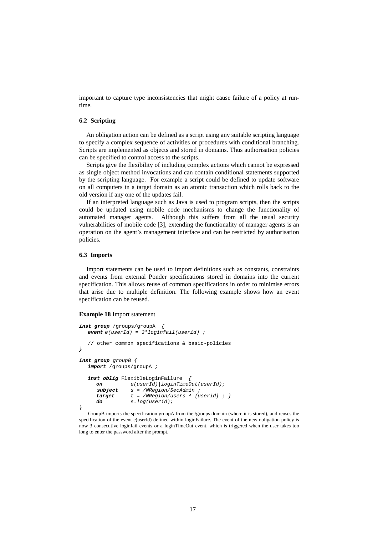important to capture type inconsistencies that might cause failure of a policy at runtime.

### **6.2 Scripting**

An obligation action can be defined as a script using any suitable scripting language to specify a complex sequence of activities or procedures with conditional branching. Scripts are implemented as objects and stored in domains. Thus authorisation policies can be specified to control access to the scripts.

Scripts give the flexibility of including complex actions which cannot be expressed as single object method invocations and can contain conditional statements supported by the scripting language. For example a script could be defined to update software on all computers in a target domain as an atomic transaction which rolls back to the old version if any one of the updates fail.

If an interpreted language such as Java is used to program scripts, then the scripts could be updated using mobile code mechanisms to change the functionality of automated manager agents. Although this suffers from all the usual security vulnerabilities of mobile code [3], extending the functionality of manager agents is an operation on the agent's management interface and can be restricted by authorisation policies.

### **6.3 Imports**

Import statements can be used to import definitions such as constants, constraints and events from external Ponder specifications stored in domains into the current specification. This allows reuse of common specifications in order to minimise errors that arise due to multiple definition. The following example shows how an event specification can be reused.

#### **Example 18** Import statement

```
inst group /groups/groupA {
  event e(userId) = 3*loginfail(userid) ;
  // other common specifications & basic-policies
}
inst group groupB {
  import /groups/groupA ;
  inst oblig FlexibleLoginFailure {
    on e(userId)|loginTimeOut(userId);
     subject s = /NRegion/SecAdmin ;
     target t = /NRegion/users \land {userid} ; }
     do s.log(userid);
}
```
GroupB imports the specification groupA from the /groups domain (where it is stored), and reuses the specification of the event e(userId) defined within loginFailure. The event of the new obligation policy is now 3 consecutive loginfail events or a loginTimeOut event, which is triggered when the user takes too long to enter the password after the prompt.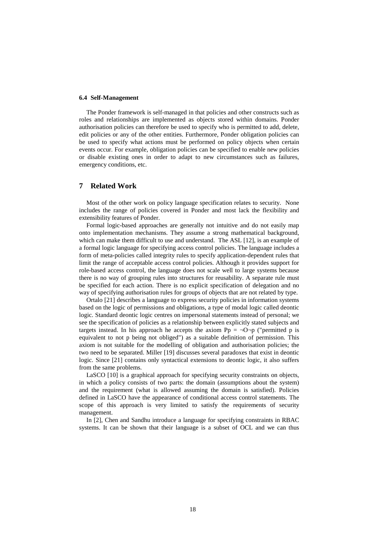### **6.4 Self-Management**

The Ponder framework is self-managed in that policies and other constructs such as roles and relationships are implemented as objects stored within domains. Ponder authorisation policies can therefore be used to specify who is permitted to add, delete, edit policies or any of the other entities. Furthermore, Ponder obligation policies can be used to specify what actions must be performed on policy objects when certain events occur. For example, obligation policies can be specified to enable new policies or disable existing ones in order to adapt to new circumstances such as failures, emergency conditions, etc.

## **7 Related Work**

Most of the other work on policy language specification relates to security. None includes the range of policies covered in Ponder and most lack the flexibility and extensibility features of Ponder.

Formal logic-based approaches are generally not intuitive and do not easily map onto implementation mechanisms. They assume a strong mathematical background, which can make them difficult to use and understand. The ASL [12], is an example of a formal logic language for specifying access control policies. The language includes a form of meta-policies called integrity rules to specify application-dependent rules that limit the range of acceptable access control policies. Although it provides support for role-based access control, the language does not scale well to large systems because there is no way of grouping rules into structures for reusability. A separate rule must be specified for each action. There is no explicit specification of delegation and no way of specifying authorisation rules for groups of objects that are not related by type.

Ortalo [21] describes a language to express security policies in information systems based on the logic of permissions and obligations, a type of modal logic called deontic logic. Standard deontic logic centres on impersonal statements instead of personal; we see the specification of policies as a relationship between explicitly stated subjects and targets instead. In his approach he accepts the axiom  $Pp = \neg O\neg p$  ("permitted p is equivalent to not p being not obliged") as a suitable definition of permission. This axiom is not suitable for the modelling of obligation and authorisation policies; the two need to be separated. Miller [19] discusses several paradoxes that exist in deontic logic. Since [21] contains only syntactical extensions to deontic logic, it also suffers from the same problems.

LaSCO [10] is a graphical approach for specifying security constraints on objects, in which a policy consists of two parts: the domain (assumptions about the system) and the requirement (what is allowed assuming the domain is satisfied). Policies defined in LaSCO have the appearance of conditional access control statements. The scope of this approach is very limited to satisfy the requirements of security management.

In [2], Chen and Sandhu introduce a language for specifying constraints in RBAC systems. It can be shown that their language is a subset of OCL and we can thus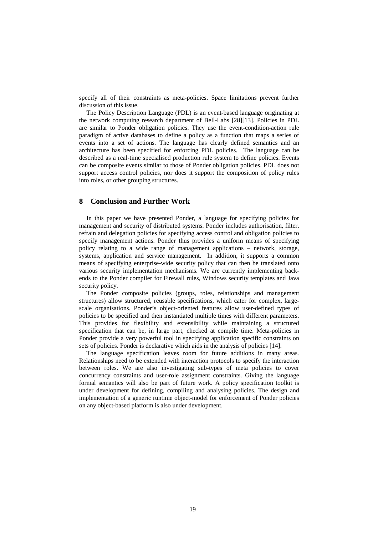specify all of their constraints as meta-policies. Space limitations prevent further discussion of this issue.

The Policy Description Language (PDL) is an event-based language originating at the network computing research department of Bell-Labs [28][13]. Policies in PDL are similar to Ponder obligation policies. They use the event-condition-action rule paradigm of active databases to define a policy as a function that maps a series of events into a set of actions. The language has clearly defined semantics and an architecture has been specified for enforcing PDL policies. The language can be described as a real-time specialised production rule system to define policies. Events can be composite events similar to those of Ponder obligation policies. PDL does not support access control policies, nor does it support the composition of policy rules into roles, or other grouping structures.

## **8 Conclusion and Further Work**

In this paper we have presented Ponder, a language for specifying policies for management and security of distributed systems. Ponder includes authorisation, filter, refrain and delegation policies for specifying access control and obligation policies to specify management actions. Ponder thus provides a uniform means of specifying policy relating to a wide range of management applications – network, storage, systems, application and service management. In addition, it supports a common means of specifying enterprise-wide security policy that can then be translated onto various security implementation mechanisms. We are currently implementing backends to the Ponder compiler for Firewall rules, Windows security templates and Java security policy.

The Ponder composite policies (groups, roles, relationships and management structures) allow structured, reusable specifications, which cater for complex, largescale organisations. Ponder's object-oriented features allow user-defined types of policies to be specified and then instantiated multiple times with different parameters. This provides for flexibility and extensibility while maintaining a structured specification that can be, in large part, checked at compile time. Meta-policies in Ponder provide a very powerful tool in specifying application specific constraints on sets of policies. Ponder is declarative which aids in the analysis of policies [14].

The language specification leaves room for future additions in many areas. Relationships need to be extended with interaction protocols to specify the interaction between roles. We are also investigating sub-types of meta policies to cover concurrency constraints and user-role assignment constraints. Giving the language formal semantics will also be part of future work. A policy specification toolkit is under development for defining, compiling and analysing policies. The design and implementation of a generic runtime object-model for enforcement of Ponder policies on any object-based platform is also under development.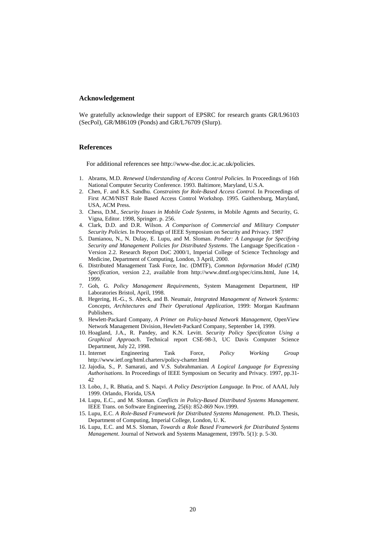### **Acknowledgement**

We gratefully acknowledge their support of EPSRC for research grants GR/L96103 (SecPol), GR/M86109 (Ponds) and GR/L76709 (Slurp).

### **References**

For additional references see http://www-dse.doc.ic.ac.uk/policies.

- 1. Abrams, M.D. *Renewed Understanding of Access Control Policies*. In Proceedings of 16th National Computer Security Conference. 1993. Baltimore, Maryland, U.S.A.
- 2. Chen, F. and R.S. Sandhu. *Constraints for Role-Based Access Control*. In Proceedings of First ACM/NIST Role Based Access Control Workshop. 1995. Gaithersburg, Maryland, USA, ACM Press.
- 3. Chess, D.M., *Security Issues in Mobile Code Systems*, in Mobile Agents and Security, G. Vigna, Editor. 1998, Springer. p. 256.
- 4. Clark, D.D. and D.R. Wilson. *A Comparison of Commercial and Military Computer Security Policies*. In Proceedings of IEEE Symposium on Security and Privacy. 1987
- 5. Damianou, N., N. Dulay, E. Lupu, and M. Sloman. *Ponder: A Language for Specifying Security and Management Policies for Distributed Systems*. The Language Specification - Version 2.2. Research Report DoC 2000/1, Imperial College of Science Technology and Medicine, Department of Computing, London, 3 April, 2000.
- 6. Distributed Management Task Force, Inc. (DMTF), *Common Information Model (CIM) Specification*, version 2.2, available from http://www.dmtf.org/spec/cims.html, June 14, 1999.
- 7. Goh, G. *Policy Management Requirements*, System Management Department, HP Laboratories Bristol, April, 1998.
- 8. Hegering, H.-G., S. Abeck, and B. Neumair, *Integrated Management of Network Systems: Concepts, Architectures and Their Operational Application*, 1999: Morgan Kaufmann Publishers.
- 9. Hewlett-Packard Company, *A Primer on Policy-based Network Management*, OpenView Network Management Division, Hewlett-Packard Company, September 14, 1999.
- 10. Hoagland, J.A., R. Pandey, and K.N. Levitt. *Security Policy Specificaton Using a Graphical Approach*. Technical report CSE-98-3, UC Davis Computer Science Department, July 22, 1998.
- 11. Internet Engineering Task Force, *Policy Working Group* http://www.ietf.org/html.charters/policy-charter.html
- 12. Jajodia, S., P. Samarati, and V.S. Subrahmanian. *A Logical Language for Expressing Authorisations*. In Proceedings of IEEE Symposium on Security and Privacy. 1997, pp.31- 42
- 13. Lobo, J., R. Bhatia, and S. Naqvi. *A Policy Description Language*. In Proc. of AAAI, July 1999. Orlando, Florida, USA
- 14. Lupu, E.C., and M. Sloman. *Conflicts in Policy-Based Distributed Systems Management*. IEEE Trans. on Software Engineering, 25(6): 852-869 Nov.1999.
- 15. Lupu, E.C. *A Role-Based Framework for Distributed Systems Management*. Ph.D. Thesis, Department of Computing, Imperial College, London, U. K.
- 16. Lupu, E.C. and M.S. Sloman, *Towards a Role Based Framework for Distributed Systems Management*. Journal of Network and Systems Management, 1997b. 5(1): p. 5-30.